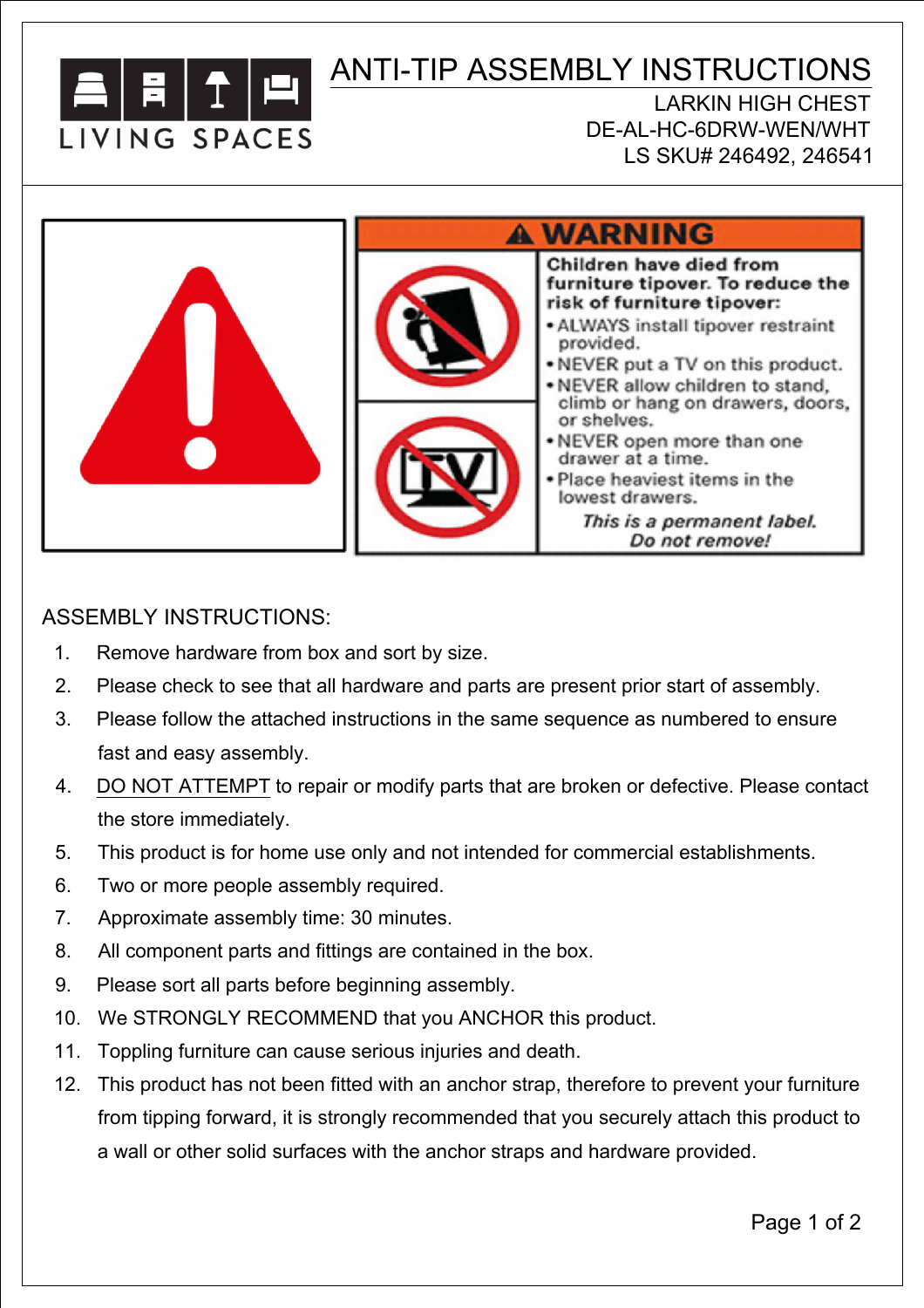

## ANTI-TIP ASSEMBLY INSTRUCTIONS

LARKIN HIGH CHEST DE-AL-HC-6DRW-WEN/WHT LS SKU# 246492, 246541



## ASSEMBLY INSTRUCTIONS:

- 1. Remove hardware from box and sort by size.
- 2. Please check to see that all hardware and parts are present prior start of assembly.
- 3. Please follow the attached instructions in the same sequence as numbered to ensure fast and easy assembly.
- 4. DO NOT ATTEMPT to repair or modify parts that are broken or defective. Please contact the store immediately.
- 5. This product is for home use only and not intended for commercial establishments.
- 6. Two or more people assembly required.
- 7. Approximate assembly time: 30 minutes.
- 8. All component parts and fittings are contained in the box.
- 9. Please sort all parts before beginning assembly.
- 10. We STRONGLY RECOMMEND that you ANCHOR this product.
- 11. Toppling furniture can cause serious injuries and death.
- 12. This product has not been fitted with an anchor strap, therefore to prevent your furniture from tipping forward, it is strongly recommended that you securely attach this product to a wall or other solid surfaces with the anchor straps and hardware provided.